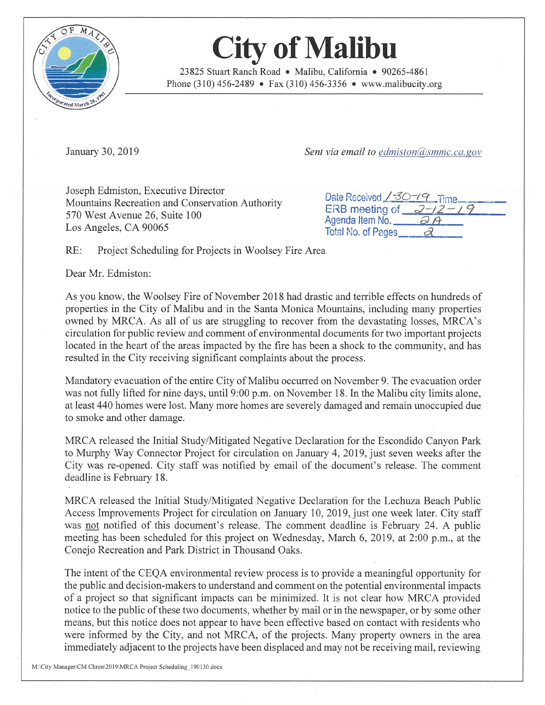

## **City of Malibu**

23825 Stuart Ranch Road • Malibu, California • 90265-486 <sup>1</sup> Phone (310) 456-2489 • Fax (310) 456-3356 • www.malibucity.org

January 30, 2019 Sent via email to edmiston (@\_\_\_\_\_\_\_\_\_\_\_\_\_\_\_\_\_\_\_\_\_\_\_\_\_\_\_\_\_\_\_\_\_\_

Joseph Edmiston, Executive Director<br>Mountains Recreation and Conservation Authority 570 West Avenue 26, Suite 100 Los Angeles, CA 90065

|                                            | Date Received / 30-19 Time |
|--------------------------------------------|----------------------------|
| ERB meeting of $2 - 12 - 19$               |                            |
| Agenda Item No. $\overline{\mathcal{Q}}$ A |                            |
| Total No. of Pages<br><u>2</u>             |                            |

RE: Project Scheduling for Projects in Woolsey Fire Area

Dear Mr. Edmiston:

As you know, the Woolsey Fire of November 2018 had drastic and terrible effects on hundreds of properties in the City of Malibu and in the Santa Monica Mountains, including many properties owned by MRCA. As all of us are struggling to recover from the devastating losses, MRCA's circulation for public review and comment of environmental documents for two important projects located in the heart of the areas impacted by the fire has been <sup>a</sup> shock to the community, and has resulted in the City receiving significant complaints about the process.

Mandatory evacuation ofthe entire City of Malibu occurred on November 9. The evacuation order was not fully lifted for nine days, until 9:00 p.m. on November 18. In the Malibu city limits alone, at least 440 homes were lost. Many more homes are severely damaged and remain unoccupied due to smoke and other damage.

MRCA released the Initial Study/Mitigated Negative Declaration for the Escondido Canyon Park to Murphy Way Connector Project for circulation on January 4, 2019, just seven weeks after the City was re-opened. City staff was notified by email of the document's release. The comment deadline is February 18.

MRCA released the Initial Study/Mitigated Negative Declaration for the Lechuza Beach Public Access Improvements Project for circulation on January 10, 2019, just one week later. City staff was not notified of this document's release. The comment deadline is February 24. A public meeting has been scheduled for this project on Wednesday, March 6, 2019, at 2:00 p.m., at the Conejo Recreation and Park District in Thousand Oaks.

The intent of the CEQA environmental review process is to provide <sup>a</sup> meaningful opportunity for the public and decision-makers to understand and comment on the potential environmental impacts of <sup>a</sup> project so that significant impacts can be minimized. It is not clear how MRCA provided notice to the public of these two documents, whether by mail or in the newspaper, or by some other means, but this notice does not appear to have been effective based on contact with residents who were informed by the City, and not MRCA, of the projects. Many property owners in the area immediately adjacent to the projects have been displaced and may not be receiving mail, reviewing

M:\City Manager\CM Chron\2019\MRCA Project Scheduling\_190130.docx